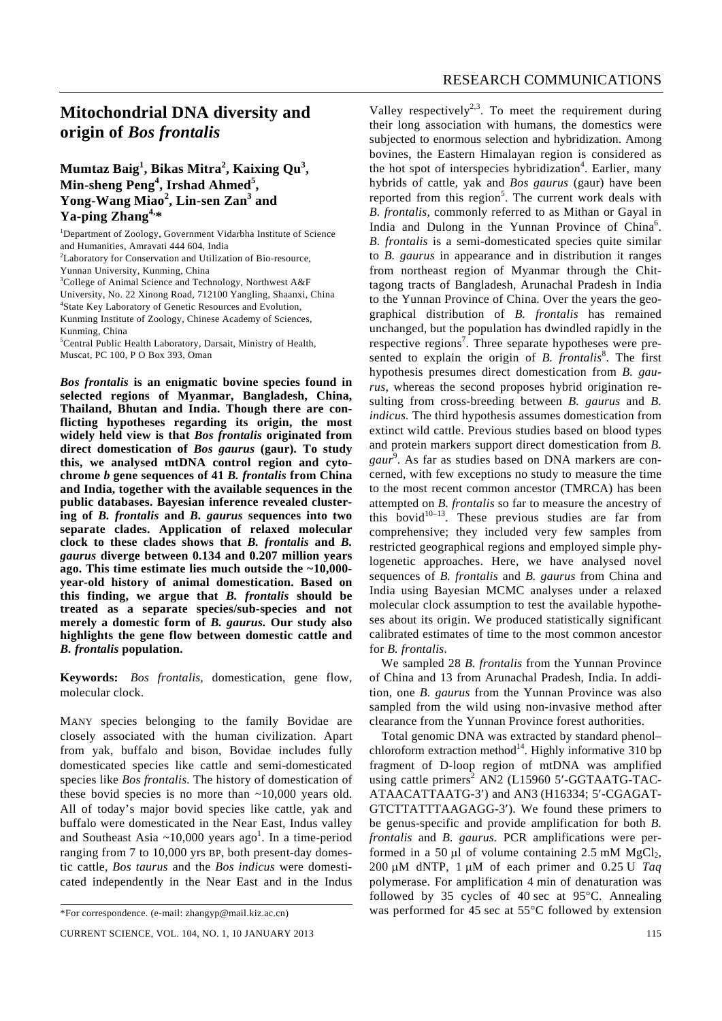# **Mitochondrial DNA diversity and origin of** *Bos frontalis*

### **Mumtaz Baig<sup>1</sup> , Bikas Mitra<sup>2</sup> , Kaixing Qu<sup>3</sup> , Min-sheng Peng<sup>4</sup> , Irshad Ahmed<sup>5</sup> , Yong-Wang Miao<sup>2</sup> , Lin-sen Zan<sup>3</sup> and Ya-ping Zhang4,\***

<sup>1</sup>Department of Zoology, Government Vidarbha Institute of Science and Humanities, Amravati 444 604, India <sup>2</sup>Laboratory for Conservation and Utilization of Bio-resource, Yunnan University, Kunming, China <sup>3</sup>College of Animal Science and Technology, Northwest A&F University, No. 22 Xinong Road, 712100 Yangling, Shaanxi, China 4 State Key Laboratory of Genetic Resources and Evolution, Kunming Institute of Zoology, Chinese Academy of Sciences, Kunming, China

5 Central Public Health Laboratory, Darsait, Ministry of Health, Muscat, PC 100, P O Box 393, Oman

*Bos frontalis* **is an enigmatic bovine species found in selected regions of Myanmar, Bangladesh, China, Thailand, Bhutan and India. Though there are conflicting hypotheses regarding its origin, the most widely held view is that** *Bos frontalis* **originated from direct domestication of** *Bos gaurus* **(gaur)***.* **To study this, we analysed mtDNA control region and cytochrome** *b* **gene sequences of 41** *B. frontalis* **from China and India, together with the available sequences in the public databases. Bayesian inference revealed clustering of** *B. frontalis* **and** *B. gaurus* **sequences into two separate clades. Application of relaxed molecular clock to these clades shows that** *B. frontalis* **and** *B. gaurus* **diverge between 0.134 and 0.207 million years ago. This time estimate lies much outside the ~10,000 year-old history of animal domestication. Based on this finding, we argue that** *B. frontalis* **should be treated as a separate species/sub-species and not merely a domestic form of** *B. gaurus.* **Our study also highlights the gene flow between domestic cattle and**  *B. frontalis* **population.** 

**Keywords:** *Bos frontalis*, domestication, gene flow, molecular clock.

MANY species belonging to the family Bovidae are closely associated with the human civilization. Apart from yak, buffalo and bison, Bovidae includes fully domesticated species like cattle and semi-domesticated species like *Bos frontalis.* The history of domestication of these bovid species is no more than ~10,000 years old. All of today's major bovid species like cattle, yak and buffalo were domesticated in the Near East, Indus valley and Southeast Asia  $\sim$ 10,000 years ago<sup>1</sup>. In a time-period ranging from 7 to 10,000 yrs BP, both present-day domestic cattle, *Bos taurus* and the *Bos indicus* were domesticated independently in the Near East and in the Indus

Valley respectively<sup>2,3</sup>. To meet the requirement during their long association with humans, the domestics were subjected to enormous selection and hybridization. Among bovines, the Eastern Himalayan region is considered as the hot spot of interspecies hybridization<sup>4</sup>. Earlier, many hybrids of cattle, yak and *Bos gaurus* (gaur) have been reported from this region<sup>5</sup>. The current work deals with *B. frontalis*, commonly referred to as Mithan or Gayal in India and Dulong in the Yunnan Province of China<sup>6</sup>. *B. frontalis* is a semi-domesticated species quite similar to *B. gaurus* in appearance and in distribution it ranges from northeast region of Myanmar through the Chittagong tracts of Bangladesh, Arunachal Pradesh in India to the Yunnan Province of China. Over the years the geographical distribution of *B. frontalis* has remained unchanged, but the population has dwindled rapidly in the respective regions<sup>7</sup>. Three separate hypotheses were presented to explain the origin of *B. frontalis<sup>8</sup>*. The first hypothesis presumes direct domestication from *B. gaurus*, whereas the second proposes hybrid origination resulting from cross-breeding between *B. gaurus* and *B. indicus.* The third hypothesis assumes domestication from extinct wild cattle. Previous studies based on blood types and protein markers support direct domestication from *B.*  gaur<sup>9</sup>. As far as studies based on DNA markers are concerned, with few exceptions no study to measure the time to the most recent common ancestor (TMRCA) has been attempted on *B. frontalis* so far to measure the ancestry of this bovid<sup>10–13</sup>. These previous studies are far from comprehensive; they included very few samples from restricted geographical regions and employed simple phylogenetic approaches. Here, we have analysed novel sequences of *B. frontalis* and *B. gaurus* from China and India using Bayesian MCMC analyses under a relaxed molecular clock assumption to test the available hypotheses about its origin. We produced statistically significant calibrated estimates of time to the most common ancestor for *B. frontalis.*

 We sampled 28 *B. frontalis* from the Yunnan Province of China and 13 from Arunachal Pradesh, India. In addition, one *B. gaurus* from the Yunnan Province was also sampled from the wild using non-invasive method after clearance from the Yunnan Province forest authorities.

 Total genomic DNA was extracted by standard phenol– chloroform extraction method<sup>14</sup>. Highly informative 310 bp fragment of D-loop region of mtDNA was amplified using cattle primers<sup>2</sup> AN2 (L15960 5'-GGTAATG-TAC-ATAACATTAATG-3′) and AN3 (H16334; 5′-CGAGAT-GTCTTATTTAAGAGG-3′). We found these primers to be genus-specific and provide amplification for both *B. frontalis* and *B. gaurus.* PCR amplifications were performed in a 50  $\mu$ l of volume containing 2.5 mM MgCl<sub>2</sub>, 200 μM dNTP, 1 μM of each primer and 0.25 U *Taq* polymerase. For amplification 4 min of denaturation was followed by 35 cycles of 40 sec at 95°C. Annealing was performed for 45 sec at 55°C followed by extension

<sup>\*</sup>For correspondence. (e-mail: zhangyp@mail.kiz.ac.cn)

CURRENT SCIENCE, VOL. 104, NO. 1, 10 JANUARY 2013 115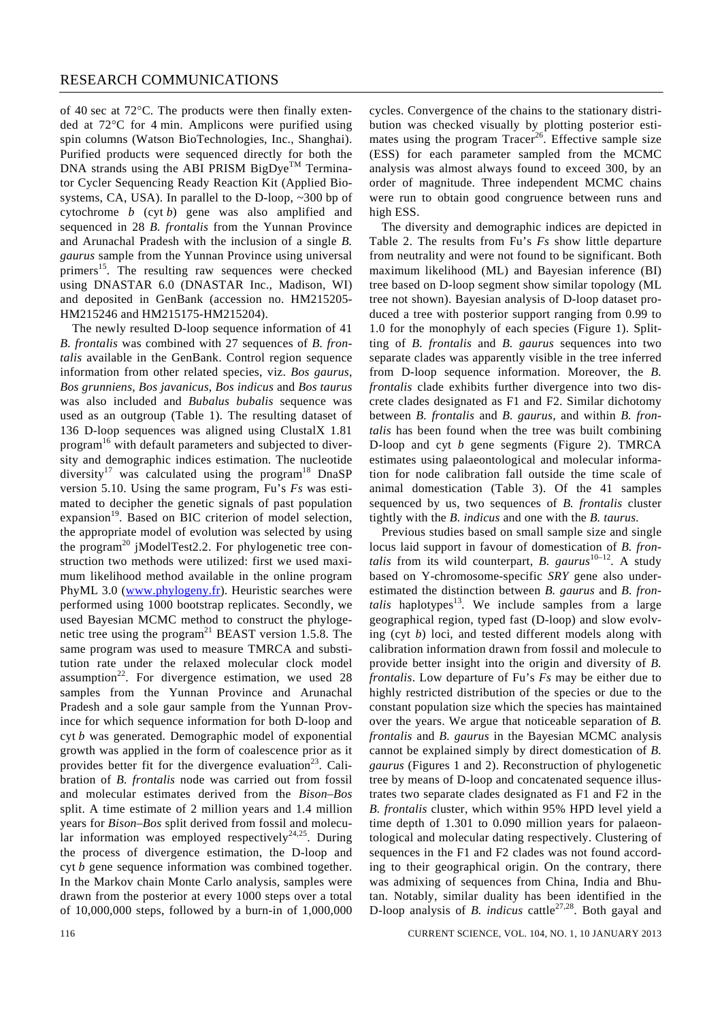of 40 sec at 72°C. The products were then finally extended at 72°C for 4 min. Amplicons were purified using spin columns (Watson BioTechnologies, Inc., Shanghai). Purified products were sequenced directly for both the DNA strands using the ABI PRISM BigDye<sup>TM</sup> Terminator Cycler Sequencing Ready Reaction Kit (Applied Biosystems, CA, USA). In parallel to the D-loop, ~300 bp of cytochrome *b* (cyt *b*) gene was also amplified and sequenced in 28 *B. frontalis* from the Yunnan Province and Arunachal Pradesh with the inclusion of a single *B. gaurus* sample from the Yunnan Province using universal primers<sup>15</sup>. The resulting raw sequences were checked using DNASTAR 6.0 (DNASTAR Inc., Madison, WI) and deposited in GenBank (accession no. HM215205- HM215246 and HM215175-HM215204).

 The newly resulted D-loop sequence information of 41 *B. frontalis* was combined with 27 sequences of *B. frontalis* available in the GenBank. Control region sequence information from other related species, viz. *Bos gaurus*, *Bos grunniens*, *Bos javanicus*, *Bos indicus* and *Bos taurus* was also included and *Bubalus bubalis* sequence was used as an outgroup (Table 1). The resulting dataset of 136 D-loop sequences was aligned using ClustalX 1.81 program<sup>16</sup> with default parameters and subjected to diversity and demographic indices estimation. The nucleotide diversity<sup>17</sup> was calculated using the program<sup>18</sup> DnaSP version 5.10. Using the same program, Fu's *Fs* was estimated to decipher the genetic signals of past population expansion<sup>19</sup>. Based on BIC criterion of model selection, the appropriate model of evolution was selected by using the program<sup>20</sup> jModelTest2.2. For phylogenetic tree construction two methods were utilized: first we used maximum likelihood method available in the online program PhyML 3.0 (www.phylogeny.fr). Heuristic searches were performed using 1000 bootstrap replicates. Secondly, we used Bayesian MCMC method to construct the phylogenetic tree using the program<sup>21</sup> BEAST version 1.5.8. The same program was used to measure TMRCA and substitution rate under the relaxed molecular clock model assumption<sup>22</sup>. For divergence estimation, we used  $28$ samples from the Yunnan Province and Arunachal Pradesh and a sole gaur sample from the Yunnan Province for which sequence information for both D-loop and cyt *b* was generated. Demographic model of exponential growth was applied in the form of coalescence prior as it provides better fit for the divergence evaluation<sup>23</sup>. Calibration of *B. frontalis* node was carried out from fossil and molecular estimates derived from the *Bison–Bos*  split. A time estimate of 2 million years and 1.4 million years for *Bison–Bos* split derived from fossil and molecular information was employed respectively<sup>24,25</sup>. During the process of divergence estimation, the D-loop and cyt *b* gene sequence information was combined together. In the Markov chain Monte Carlo analysis, samples were drawn from the posterior at every 1000 steps over a total of 10,000,000 steps, followed by a burn-in of 1,000,000 cycles. Convergence of the chains to the stationary distribution was checked visually by plotting posterior estimates using the program  $Tracer<sup>26</sup>$ . Effective sample size (ESS) for each parameter sampled from the MCMC analysis was almost always found to exceed 300, by an order of magnitude. Three independent MCMC chains were run to obtain good congruence between runs and high ESS.

 The diversity and demographic indices are depicted in Table 2. The results from Fu's *Fs* show little departure from neutrality and were not found to be significant. Both maximum likelihood (ML) and Bayesian inference (BI) tree based on D-loop segment show similar topology (ML tree not shown). Bayesian analysis of D-loop dataset produced a tree with posterior support ranging from 0.99 to 1.0 for the monophyly of each species (Figure 1). Splitting of *B. frontalis* and *B. gaurus* sequences into two separate clades was apparently visible in the tree inferred from D-loop sequence information. Moreover, the *B. frontalis* clade exhibits further divergence into two discrete clades designated as F1 and F2. Similar dichotomy between *B. frontalis* and *B. gaurus*, and within *B. frontalis* has been found when the tree was built combining D-loop and cyt *b* gene segments (Figure 2). TMRCA estimates using palaeontological and molecular information for node calibration fall outside the time scale of animal domestication (Table 3). Of the 41 samples sequenced by us, two sequences of *B. frontalis* cluster tightly with the *B. indicus* and one with the *B. taurus.* 

 Previous studies based on small sample size and single locus laid support in favour of domestication of *B. frontalis* from its wild counterpart, *B. gaurus*<sup>10–12</sup>. A study based on Y-chromosome-specific *SRY* gene also underestimated the distinction between *B. gaurus* and *B. frontalis* haplotypes<sup>13</sup>. We include samples from a large geographical region, typed fast (D-loop) and slow evolving (cyt *b*) loci, and tested different models along with calibration information drawn from fossil and molecule to provide better insight into the origin and diversity of *B. frontalis*. Low departure of Fu's *Fs* may be either due to highly restricted distribution of the species or due to the constant population size which the species has maintained over the years. We argue that noticeable separation of *B. frontalis* and *B. gaurus* in the Bayesian MCMC analysis cannot be explained simply by direct domestication of *B. gaurus* (Figures 1 and 2). Reconstruction of phylogenetic tree by means of D-loop and concatenated sequence illustrates two separate clades designated as F1 and F2 in the *B. frontalis* cluster, which within 95% HPD level yield a time depth of 1.301 to 0.090 million years for palaeontological and molecular dating respectively. Clustering of sequences in the F1 and F2 clades was not found according to their geographical origin. On the contrary, there was admixing of sequences from China, India and Bhutan. Notably, similar duality has been identified in the D-loop analysis of *B. indicus* cattle<sup>27,28</sup>. Both gayal and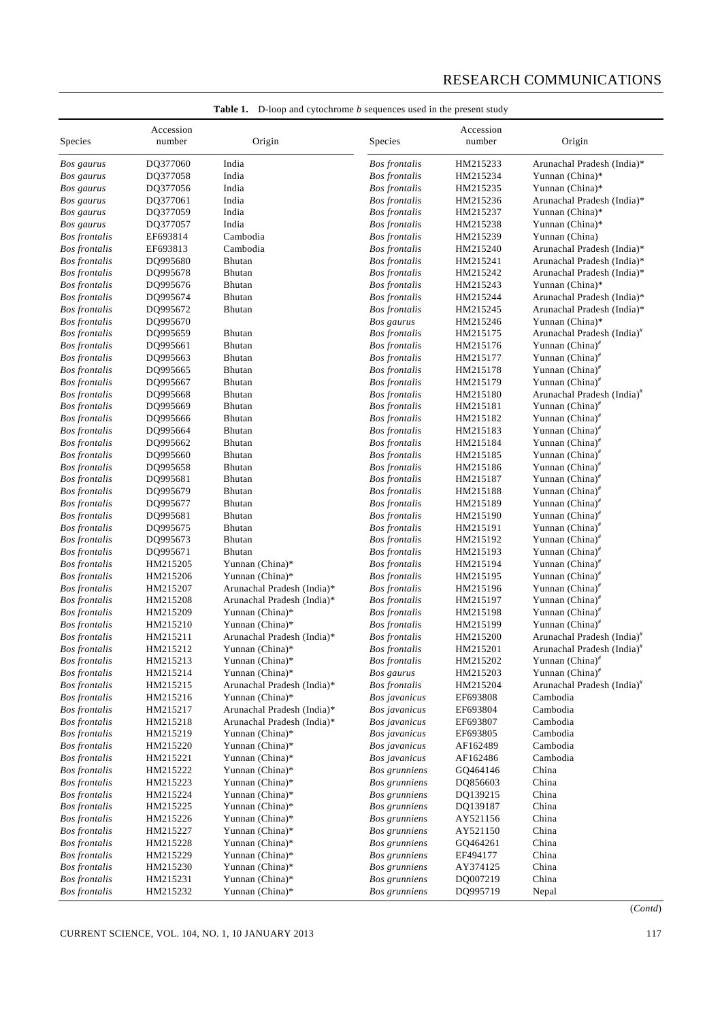# RESEARCH COMMUNICATIONS

| Species              | Accession<br>number | Origin                     | <b>Species</b>       | Accession<br>number | Origin                                 |
|----------------------|---------------------|----------------------------|----------------------|---------------------|----------------------------------------|
| Bos gaurus           | DQ377060            | India                      | <b>Bos frontalis</b> | HM215233            | Arunachal Pradesh (India)*             |
| Bos gaurus           | DQ377058            | India                      | <b>Bos</b> frontalis | HM215234            | Yunnan (China)*                        |
| Bos gaurus           | DQ377056            | India                      | <b>Bos</b> frontalis | HM215235            | Yunnan (China)*                        |
| Bos gaurus           | DQ377061            | India                      | <b>Bos</b> frontalis | HM215236            | Arunachal Pradesh (India)*             |
| Bos gaurus           | DQ377059            | India                      | <b>Bos</b> frontalis | HM215237            | Yunnan (China)*                        |
| Bos gaurus           | DQ377057            | India                      | <b>Bos</b> frontalis | HM215238            | Yunnan (China)*                        |
| <b>Bos</b> frontalis | EF693814            | Cambodia                   | <b>Bos</b> frontalis | HM215239            | Yunnan (China)                         |
| <b>Bos</b> frontalis | EF693813            | Cambodia                   | <b>Bos</b> frontalis | HM215240            | Arunachal Pradesh (India)*             |
| <b>Bos</b> frontalis | DQ995680            | <b>Bhutan</b>              | <b>Bos frontalis</b> | HM215241            | Arunachal Pradesh (India)*             |
| <b>Bos</b> frontalis | DQ995678            | <b>Bhutan</b>              | <b>Bos frontalis</b> | HM215242            | Arunachal Pradesh (India)*             |
| <b>Bos</b> frontalis | DQ995676            | Bhutan                     | <b>Bos</b> frontalis | HM215243            | Yunnan (China)*                        |
| <b>Bos</b> frontalis | DQ995674            | Bhutan                     | <b>Bos</b> frontalis | HM215244            | Arunachal Pradesh (India)*             |
| <b>Bos</b> frontalis | DQ995672            | Bhutan                     | <b>Bos</b> frontalis | HM215245            | Arunachal Pradesh (India)*             |
| <b>Bos</b> frontalis | DQ995670            |                            | Bos gaurus           | HM215246            | Yunnan (China)*                        |
| <b>Bos</b> frontalis | DQ995659            | <b>Bhutan</b>              | <b>Bos</b> frontalis | HM215175            | Arunachal Pradesh (India) <sup>#</sup> |
| <b>Bos</b> frontalis | DQ995661            | Bhutan                     | <b>Bos</b> frontalis | HM215176            | Yunnan (China) <sup>#</sup>            |
| <b>Bos</b> frontalis | DQ995663            | Bhutan                     | <b>Bos</b> frontalis | HM215177            | Yunnan (China) <sup>#</sup>            |
| <b>Bos</b> frontalis | DQ995665            | Bhutan                     | <b>Bos</b> frontalis | HM215178            | Yunnan (China) <sup>#</sup>            |
| <b>Bos</b> frontalis | DQ995667            | Bhutan                     | <b>Bos</b> frontalis | HM215179            | Yunnan (China) <sup>#</sup>            |
| <b>Bos</b> frontalis | DQ995668            | Bhutan                     | <b>Bos</b> frontalis | HM215180            | Arunachal Pradesh (India) <sup>#</sup> |
| <b>Bos</b> frontalis | DQ995669            | <b>Bhutan</b>              | <b>Bos frontalis</b> | HM215181            | Yunnan (China) <sup>#</sup>            |
| <b>Bos</b> frontalis | DQ995666            | Bhutan                     | <b>Bos frontalis</b> | HM215182            | Yunnan (China) <sup>#</sup>            |
| <b>Bos</b> frontalis | DQ995664            | Bhutan                     | <b>Bos</b> frontalis | HM215183            | Yunnan (China) <sup>#</sup>            |
| <b>Bos</b> frontalis | DQ995662            | <b>Bhutan</b>              | <b>Bos</b> frontalis | HM215184            | Yunnan (China) <sup>#</sup>            |
| <b>Bos</b> frontalis | DQ995660            | Bhutan                     | <b>Bos</b> frontalis | HM215185            | Yunnan (China) <sup>#</sup>            |
| <b>Bos</b> frontalis | DQ995658            | Bhutan                     | <b>Bos</b> frontalis | HM215186            | Yunnan (China) <sup>#</sup>            |
| <b>Bos</b> frontalis | DQ995681            | <b>Bhutan</b>              | <b>Bos frontalis</b> | HM215187            | Yunnan (China) <sup>#</sup>            |
| <b>Bos</b> frontalis | DQ995679            | Bhutan                     | <b>Bos frontalis</b> | HM215188            | Yunnan (China) <sup>#</sup>            |
| <b>Bos</b> frontalis | DQ995677            | Bhutan                     | <b>Bos</b> frontalis | HM215189            | Yunnan (China) <sup>#</sup>            |
| <b>Bos</b> frontalis | DQ995681            | <b>Bhutan</b>              | <b>Bos</b> frontalis | HM215190            | Yunnan (China) <sup>#</sup>            |
| <b>Bos</b> frontalis | DQ995675            | Bhutan                     | <b>Bos</b> frontalis | HM215191            | Yunnan (China) <sup>#</sup>            |
| <b>Bos</b> frontalis | DQ995673            | Bhutan                     | <b>Bos</b> frontalis | HM215192            | Yunnan (China) <sup>#</sup>            |
| <b>Bos</b> frontalis | DQ995671            | Bhutan                     | <b>Bos frontalis</b> | HM215193            | Yunnan (China) <sup>#</sup>            |
| <b>Bos</b> frontalis | HM215205            | Yunnan (China)*            | <b>Bos frontalis</b> | HM215194            | Yunnan (China) <sup>#</sup>            |
| <b>Bos</b> frontalis | HM215206            | Yunnan (China)*            | <b>Bos</b> frontalis | HM215195            | Yunnan (China) <sup>#</sup>            |
| <b>Bos</b> frontalis | HM215207            | Arunachal Pradesh (India)* | <b>Bos frontalis</b> | HM215196            | Yunnan (China) <sup>#</sup>            |
| <b>Bos</b> frontalis | HM215208            | Arunachal Pradesh (India)* | <b>Bos frontalis</b> | HM215197            | Yunnan (China) <sup>#</sup>            |
| <b>Bos</b> frontalis | HM215209            | Yunnan (China)*            | <b>Bos</b> frontalis | HM215198            | Yunnan (China) <sup>#</sup>            |
| <b>Bos</b> frontalis | HM215210            | Yunnan (China)*            | <b>Bos frontalis</b> | HM215199            | Yunnan (China) <sup>#</sup>            |
| <b>Bos</b> frontalis | HM215211            | Arunachal Pradesh (India)* | <b>Bos frontalis</b> | HM215200            | Arunachal Pradesh (India)#             |
| <b>Bos</b> frontalis | HM215212            | Yunnan (China)*            | <b>Bos</b> frontalis | HM215201            | Arunachal Pradesh (India) <sup>#</sup> |
| <b>Bos</b> frontalis | HM215213            | Yunnan (China)*            | <b>Bos</b> frontalis | HM215202            | Yunnan (China) <sup>#</sup>            |
| <b>Bos frontalis</b> | HM215214            | Yunnan (China)*            | Bos gaurus           | HM215203            | Yunnan (China) <sup>#</sup>            |
| <b>Bos</b> frontalis | HM215215            | Arunachal Pradesh (India)* | <b>Bos</b> frontalis | HM215204            | Arunachal Pradesh (India) <sup>#</sup> |
| <b>Bos</b> frontalis | HM215216            | Yunnan (China)*            | Bos javanicus        | EF693808            | Cambodia                               |
| <b>Bos</b> frontalis | HM215217            | Arunachal Pradesh (India)* | Bos javanicus        | EF693804            | Cambodia                               |
| <b>Bos</b> frontalis | HM215218            | Arunachal Pradesh (India)* | Bos javanicus        | EF693807            | Cambodia                               |
| <b>Bos frontalis</b> | HM215219            | Yunnan (China)*            | Bos javanicus        | EF693805            | Cambodia                               |
| <b>Bos</b> frontalis | HM215220            | Yunnan (China)*            | Bos javanicus        | AF162489            | Cambodia                               |
| <b>Bos</b> frontalis | HM215221            | Yunnan (China)*            | Bos javanicus        | AF162486            | Cambodia                               |
| <b>Bos frontalis</b> | HM215222            | Yunnan (China)*            | <b>Bos</b> grunniens | GQ464146            | China                                  |
| <b>Bos</b> frontalis | HM215223            | Yunnan (China)*            | Bos grunniens        | DQ856603            | China                                  |
| <b>Bos</b> frontalis | HM215224            | Yunnan (China)*            | Bos grunniens        | DQ139215            | China                                  |
| <b>Bos</b> frontalis | HM215225            | Yunnan (China)*            | Bos grunniens        | DQ139187            | China                                  |
| <b>Bos</b> frontalis | HM215226            | Yunnan (China)*            | Bos grunniens        | AY521156            | China                                  |
| <b>Bos</b> frontalis | HM215227            | Yunnan (China)*            | Bos grunniens        | AY521150            | China                                  |
| <b>Bos</b> frontalis | HM215228            | Yunnan (China)*            | Bos grunniens        | GQ464261            | China                                  |
| <b>Bos</b> frontalis | HM215229            | Yunnan (China)*            | Bos grunniens        | EF494177            | China                                  |
| <b>Bos</b> frontalis | HM215230            | Yunnan (China)*            | Bos grunniens        | AY374125            | China                                  |
| <b>Bos</b> frontalis | HM215231            | Yunnan (China)*            | Bos grunniens        | DQ007219            | China                                  |
| <b>Bos</b> frontalis | HM215232            | Yunnan (China)*            | Bos grunniens        | DQ995719            | Nepal                                  |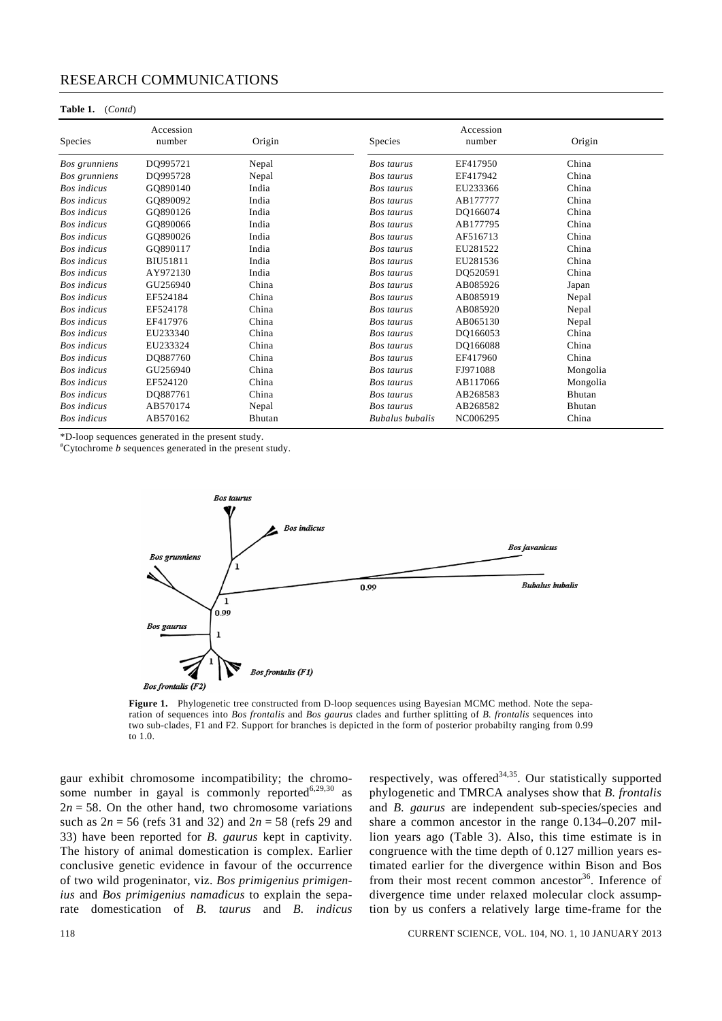#### RESEARCH COMMUNICATIONS

#### **Table 1.** (*Contd*)

| <b>Species</b>     | Accession<br>number | Origin | <b>Species</b>         | Accession<br>number | Origin   |
|--------------------|---------------------|--------|------------------------|---------------------|----------|
| Bos grunniens      | DQ995721            | Nepal  | <b>Bos</b> taurus      | EF417950            | China    |
| Bos grunniens      | DO995728            | Nepal  | Bos taurus             | EF417942            | China    |
| <b>Bos</b> indicus | GO890140            | India  | <b>Bos</b> taurus      | EU233366            | China    |
| <b>Bos</b> indicus | GQ890092            | India  | Bos taurus             | AB177777            | China    |
| <b>Bos</b> indicus | GO890126            | India  | <b>Bos</b> taurus      | DQ166074            | China    |
| <b>Bos</b> indicus | GQ890066            | India  | Bos taurus             | AB177795            | China    |
| <b>Bos</b> indicus | GO890026            | India  | Bos taurus             | AF516713            | China    |
| <b>Bos</b> indicus | GQ890117            | India  | <b>Bos</b> taurus      | EU281522            | China    |
| <b>Bos</b> indicus | BIU51811            | India  | <b>Bos</b> taurus      | EU281536            | China    |
| <b>Bos</b> indicus | AY972130            | India  | Bos taurus             | DQ520591            | China    |
| <b>Bos</b> indicus | GU256940            | China  | <b>Bos</b> taurus      | AB085926            | Japan    |
| <b>Bos</b> indicus | EF524184            | China  | Bos taurus             | AB085919            | Nepal    |
| <b>Bos</b> indicus | EF524178            | China  | Bos taurus             | AB085920            | Nepal    |
| <b>Bos</b> indicus | EF417976            | China  | <b>Bos</b> taurus      | AB065130            | Nepal    |
| <b>Bos</b> indicus | EU233340            | China  | Bos taurus             | DQ166053            | China    |
| <b>Bos</b> indicus | EU233324            | China  | Bos taurus             | DQ166088            | China    |
| <b>Bos</b> indicus | DQ887760            | China  | Bos taurus             | EF417960            | China    |
| <b>Bos</b> indicus | GU256940            | China  | Bos taurus             | FJ971088            | Mongolia |
| <b>Bos</b> indicus | EF524120            | China  | Bos taurus             | AB117066            | Mongolia |
| <b>Bos</b> indicus | DQ887761            | China  | Bos taurus             | AB268583            | Bhutan   |
| <b>Bos</b> indicus | AB570174            | Nepal  | Bos taurus             | AB268582            | Bhutan   |
| <b>Bos</b> indicus | AB570162            | Bhutan | <b>Bubalus</b> bubalis | NC006295            | China    |

\*D-loop sequences generated in the present study.

# Cytochrome *b* sequences generated in the present study.



**Figure 1.** Phylogenetic tree constructed from D-loop sequences using Bayesian MCMC method. Note the separation of sequences into *Bos frontalis* and *Bos gaurus* clades and further splitting of *B. frontalis* sequences into two sub-clades, F1 and F2. Support for branches is depicted in the form of posterior probabilty ranging from 0.99 to 1.0.

gaur exhibit chromosome incompatibility; the chromosome number in gayal is commonly reported $6,29,30$  as  $2n = 58$ . On the other hand, two chromosome variations such as 2*n* = 56 (refs 31 and 32) and 2*n* = 58 (refs 29 and 33) have been reported for *B. gaurus* kept in captivity. The history of animal domestication is complex. Earlier conclusive genetic evidence in favour of the occurrence of two wild progeninator, viz. *Bos primigenius primigenius* and *Bos primigenius namadicus* to explain the separate domestication of *B. taurus* and *B. indicus*  respectively, was offered $34,35$ . Our statistically supported phylogenetic and TMRCA analyses show that *B. frontalis* and *B. gaurus* are independent sub-species/species and share a common ancestor in the range 0.134–0.207 million years ago (Table 3). Also, this time estimate is in congruence with the time depth of 0.127 million years estimated earlier for the divergence within Bison and Bos from their most recent common ancestor $36$ . Inference of divergence time under relaxed molecular clock assumption by us confers a relatively large time-frame for the

118 CURRENT SCIENCE, VOL. 104, NO. 1, 10 JANUARY 2013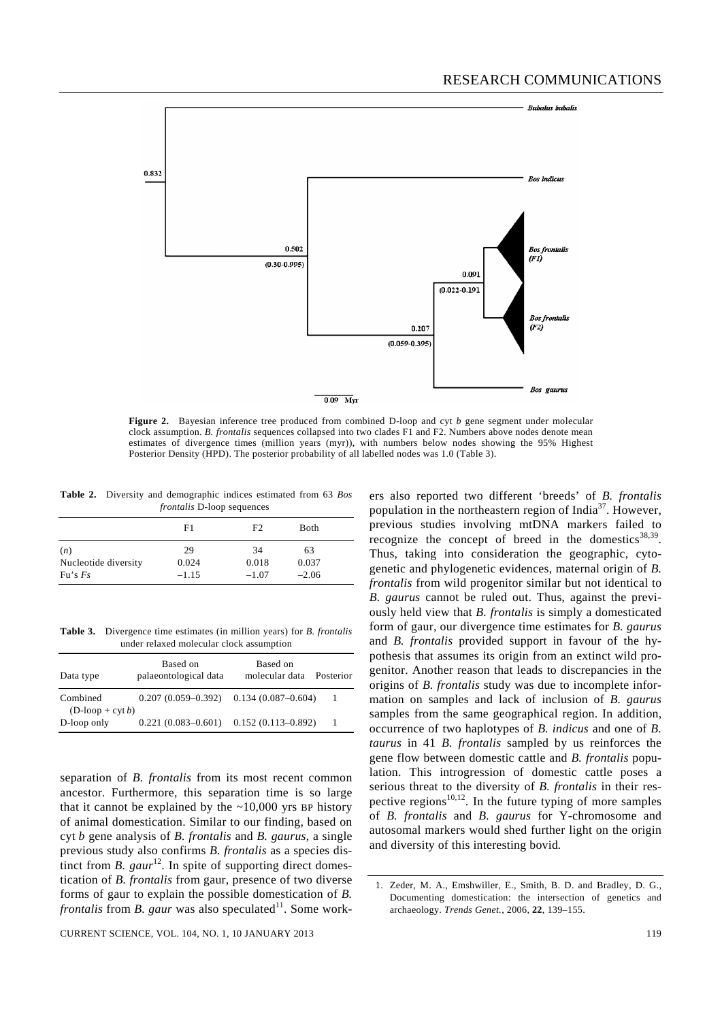

**Figure 2.** Bayesian inference tree produced from combined D-loop and cyt *b* gene segment under molecular clock assumption. *B. frontalis* sequences collapsed into two clades F1 and F2. Numbers above nodes denote mean estimates of divergence times (million years (myr)), with numbers below nodes showing the 95% Highest Posterior Density (HPD). The posterior probability of all labelled nodes was 1.0 (Table 3).

**Table 2.** Diversity and demographic indices estimated from 63 *Bos frontalis* D-loop sequences

|                             | F1          | F <sub>2</sub> | Both        |  |
|-----------------------------|-------------|----------------|-------------|--|
| (n)<br>Nucleotide diversity | 29<br>0.024 | 34<br>0.018    | 63<br>0.037 |  |
| Fu's Fs                     | $-1.15$     | $-1.07$        | $-2.06$     |  |

**Table 3.** Divergence time estimates (in million years) for *B. frontalis* under relaxed molecular clock assumption

| Data type                      | Based on<br>palaeontological data         | Based on<br>molecular data | Posterior |
|--------------------------------|-------------------------------------------|----------------------------|-----------|
| Combined<br>$(D-loop + cyt b)$ | $0.207(0.059-0.392)$ $0.134(0.087-0.604)$ |                            |           |
| D-loop only                    | $0.221(0.083-0.601)$ $0.152(0.113-0.892)$ |                            | -1        |

separation of *B. frontalis* from its most recent common ancestor. Furthermore, this separation time is so large that it cannot be explained by the  $\sim$ 10,000 yrs BP history of animal domestication. Similar to our finding, based on cyt *b* gene analysis of *B. frontalis* and *B. gaurus*, a single previous study also confirms *B. frontalis* as a species distinct from *B. gaur*<sup>12</sup>. In spite of supporting direct domestication of *B. frontalis* from gaur, presence of two diverse forms of gaur to explain the possible domestication of *B. frontalis* from *B. gaur* was also speculated<sup>11</sup>. Some work-

ers also reported two different 'breeds' of *B. frontalis* population in the northeastern region of India<sup>37</sup>. However, previous studies involving mtDNA markers failed to recognize the concept of breed in the domestics $38,39$ . Thus, taking into consideration the geographic, cytogenetic and phylogenetic evidences, maternal origin of *B. frontalis* from wild progenitor similar but not identical to *B. gaurus* cannot be ruled out. Thus, against the previously held view that *B. frontalis* is simply a domesticated form of gaur, our divergence time estimates for *B. gaurus* and *B. frontalis* provided support in favour of the hypothesis that assumes its origin from an extinct wild progenitor. Another reason that leads to discrepancies in the origins of *B. frontalis* study was due to incomplete information on samples and lack of inclusion of *B. gaurus* samples from the same geographical region. In addition, occurrence of two haplotypes of *B. indicus* and one of *B. taurus* in 41 *B. frontalis* sampled by us reinforces the gene flow between domestic cattle and *B. frontalis* population. This introgression of domestic cattle poses a serious threat to the diversity of *B. frontalis* in their respective regions $10,12$ . In the future typing of more samples of *B. frontalis* and *B. gaurus* for Y-chromosome and autosomal markers would shed further light on the origin and diversity of this interesting bovid*.* 

<sup>1.</sup> Zeder, M. A., Emshwiller, E., Smith, B. D. and Bradley, D. G., Documenting domestication: the intersection of genetics and archaeology. *Trends Genet.*, 2006, **22**, 139–155.